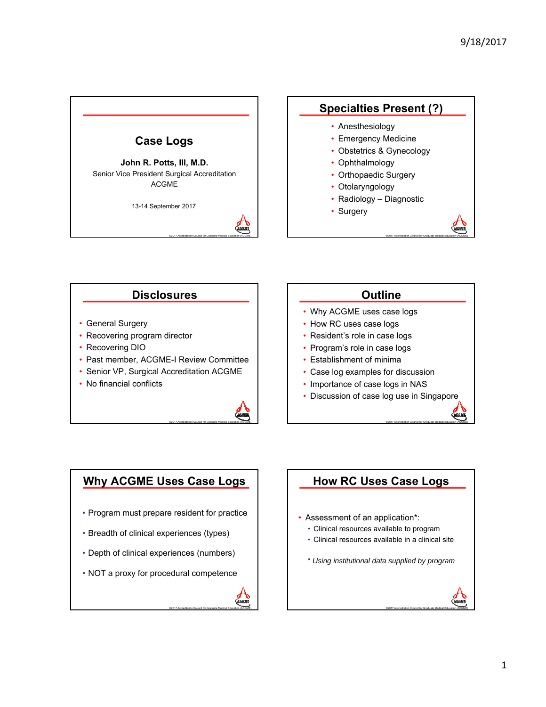

## **Specialties Present (?)**

- Anesthesiology
- Emergency Medicine
- Obstetrics & Gynecology
- Ophthalmology
- Orthopaedic Surgery
- Otolaryngology
- Radiology Diagnostic

©2017 Accreditation Council for Graduate Medical Education (ACGME)

©2017 Accreditation Council for Graduate Medical Education (ACGME)

©2017 Accreditation Council for Graduate Medical Education (ACGME)

• Surgery

### **Disclosures**

- General Surgery
- Recovering program director
- Recovering DIO
- Past member, ACGME-I Review Committee
- Senior VP, Surgical Accreditation ACGME
- No financial conflicts



#### **Outline**

- Why ACGME uses case logs
- How RC uses case logs
- Resident's role in case logs
- Program's role in case logs
- Establishment of minima
- Case log examples for discussion
- Importance of case logs in NAS
- Discussion of case log use in Singapore

## **Why ACGME Uses Case Logs**

- Program must prepare resident for practice
- Breadth of clinical experiences (types)
- Depth of clinical experiences (numbers)
- NOT a proxy for procedural competence



## **How RC Uses Case Logs** • Assessment of an application\*: • Clinical resources available to program • Clinical resources available in a clinical site \* *Using institutional data supplied by program*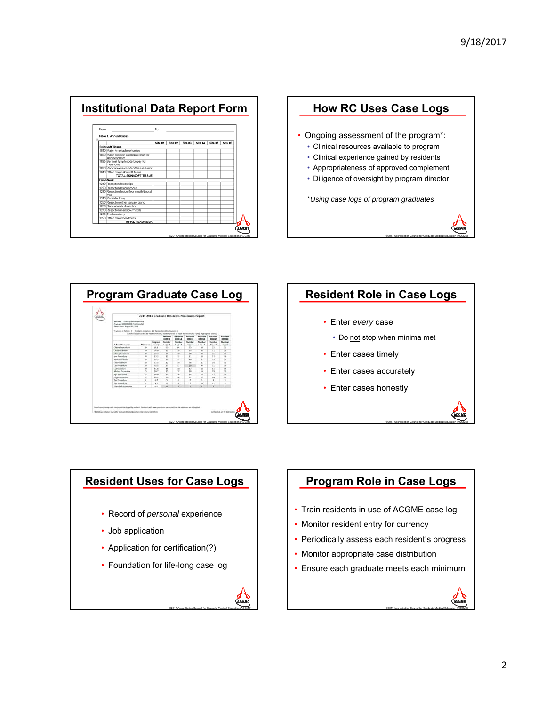









## **Program Role in Case Logs**

- Train residents in use of ACGME case log
- Monitor resident entry for currency
- Periodically assess each resident's progress
- Monitor appropriate case distribution
- Ensure each graduate meets each minimum

©2017 Accreditation Council for Graduate Medical Education (ACGME)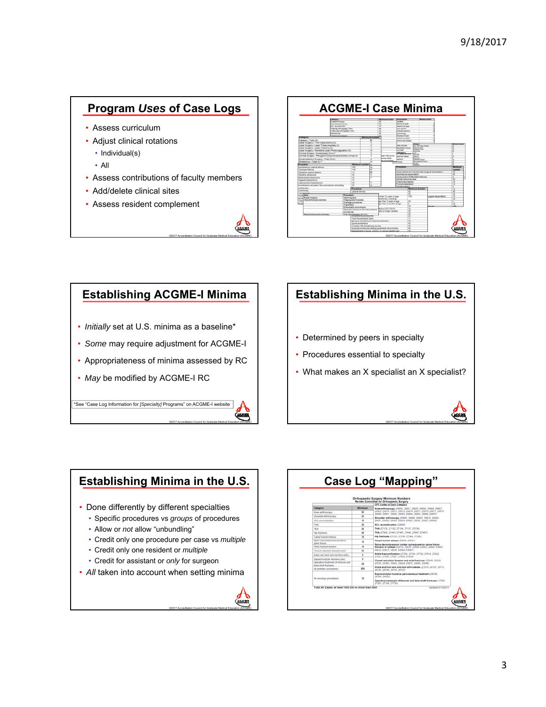## **Program** *Uses* **of Case Logs**

- Assess curriculum
- Adjust clinical rotations
	- Individual(s)
	- All
- Assess contributions of faculty members
- Add/delete clinical sites
- Assess resident complement





## **Establishing ACGME-I Minima** • *Initially* set at U.S. minima as a baseline\* • *Some* may require adjustment for ACGME-I • Appropriateness of minima assessed by RC • *May* be modified by ACGME-I RC

\*See "Case Log Information for *[Specialty]* Programs" on ACGME-I website

©2017 Accreditation Council for Graduate Medical Education (ACGME)

©2017 Accreditation Council for Graduate Medical Education (ACGME)

# **Establishing Minima in the U.S.** • Determined by peers in specialty • Procedures essential to specialty • What makes an X specialist an X specialist?

©2017 Accreditation Council for Graduate Medical Education (ACGME)

## **Establishing Minima in the U.S.** • Done differently by different specialties • Specific procedures vs *groups* of procedures • Allow or *not* allow "unbundling" • Credit only one procedure per case vs *multiple* • Credit only one resident or *multiple* • Credit for assistant or *only* for surgeon • *All* taken into account when setting minima

| Orthopaedic Surgery Minimum Numbers<br>Review Committee for Orthopaedic Surgery<br>CPT Codes In Each Category |         |                                                                                                                                            |
|---------------------------------------------------------------------------------------------------------------|---------|--------------------------------------------------------------------------------------------------------------------------------------------|
|                                                                                                               |         |                                                                                                                                            |
| Knoe arthroscopy                                                                                              | 36      | 20058, 20670, 20671, 20673, 20674, 20675, 20676, 20677, 20679.                                                                             |
| Shoulder arthroscopy                                                                                          | 20      | 29880, 29881, 29882, 29883, 29884, 29885, 29886, 29887).<br>Shoulder arthrosoppy (20005, 20000, 20007, 20019, 20020,                       |
| ACL reconcilitation.                                                                                          | 10      | 20021.20022.20023.20024.20025.20020.20027.20020.                                                                                           |
| <b>THAL</b>                                                                                                   | 58      | ACL reconstruction (29666)                                                                                                                 |
| TICA.                                                                                                         | M.      | THA (27130, 27132, 27134, 27137, 27136)                                                                                                    |
| Ho forbest                                                                                                    | $^{50}$ | TKA (27442, 27443, 27445, 27440, 27447, 27457).                                                                                            |
| Carpal funnel release                                                                                         | 18      | Mip fractures (27235, 27236, 27244, 27245).                                                                                                |
| Spine decompression postence<br>sparen funanzo                                                                | 15      | Carpal tunnel release (2958), 647211<br>Spine decompression lumbar spinalposterior spine fusion                                            |
| Aralia Bachara Basiloni                                                                                       | 15      | thoracic or tumber (23612, 23630, 23600, 22602, 23604, 63005,                                                                              |
| Closed reduction towarm/wrist                                                                                 | 20      | 63012.63017.63030.63042.63647)                                                                                                             |
| Ankle tool-best bred held bret shark-                                                                         | ٠       | Ankle fracture fixation (27766, 2776), 27792, 27814, 27622.<br>27823, 27836, 27627, 27828, 27829)                                          |
| Suprinchondylar features percy                                                                                | ٠       | Closed reduction forearm and wrist fractures (25505, 25520).                                                                               |
| Operative treatment of heroma and<br>Maxi shaft fractures.                                                    | 25      | 25535, 25565, 25605, 25624, 25675, 25660, 25690;                                                                                           |
| At pediatric procedures.                                                                                      | 550     | Ankle and hind and mid-foot arthrodeses (27870, 2070), 26715.<br>26725 26730 26735 26737)                                                  |
| All onestingy procedures.                                                                                     | 10      | Supracondylar humerus percutaneous treatment (24530).<br>34500.345825<br>Operative treatment of femoral and tibial shaft fractures (2750). |
|                                                                                                               |         | 27507.27758.277591                                                                                                                         |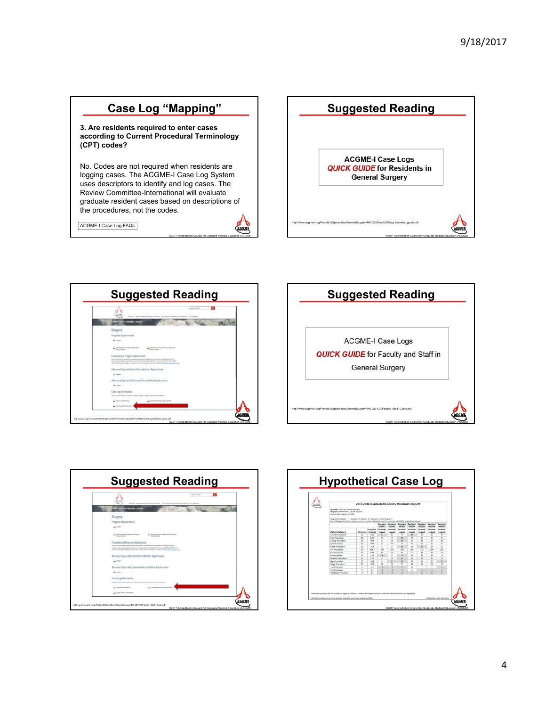## **Case Log "Mapping"**

**3. Are residents required to enter cases according to Current Procedural Terminology (CPT) codes?** 

No. Codes are not required when residents are logging cases. The ACGME-I Case Log System uses descriptors to identify and log cases. The Review Committee-International will evaluate graduate resident cases based on descriptions of the procedures, not the codes.

©2017 Accreditation Council for Graduate Medical Education (ACGME)

ACGME-I Case Log FAQs









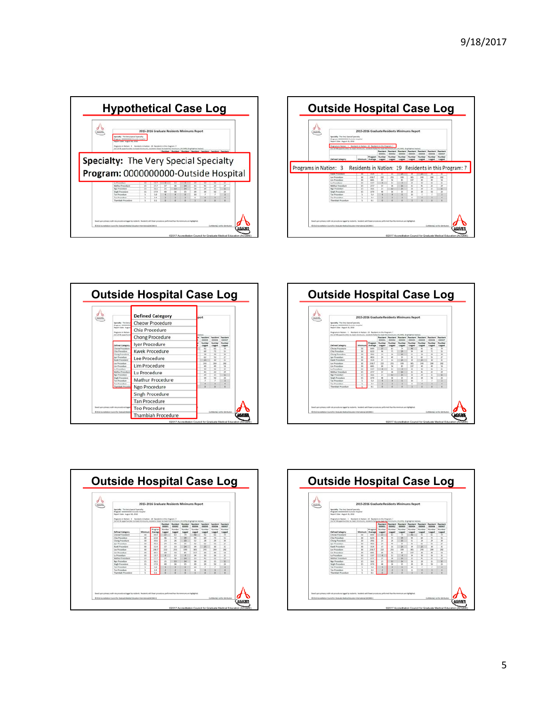









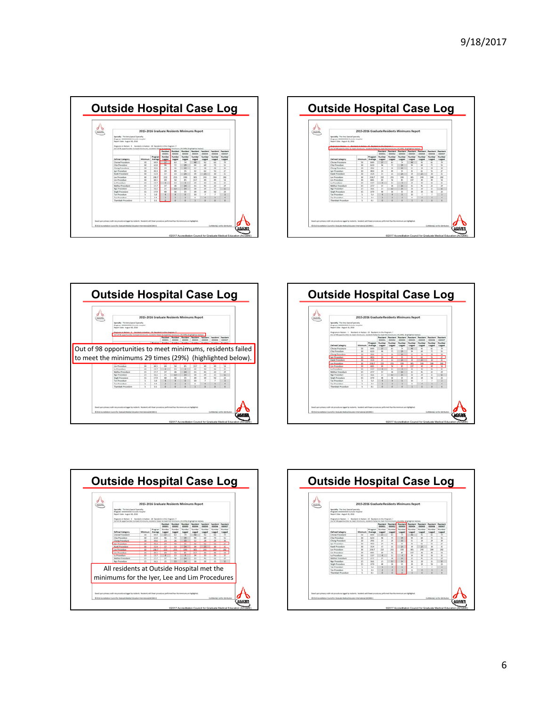









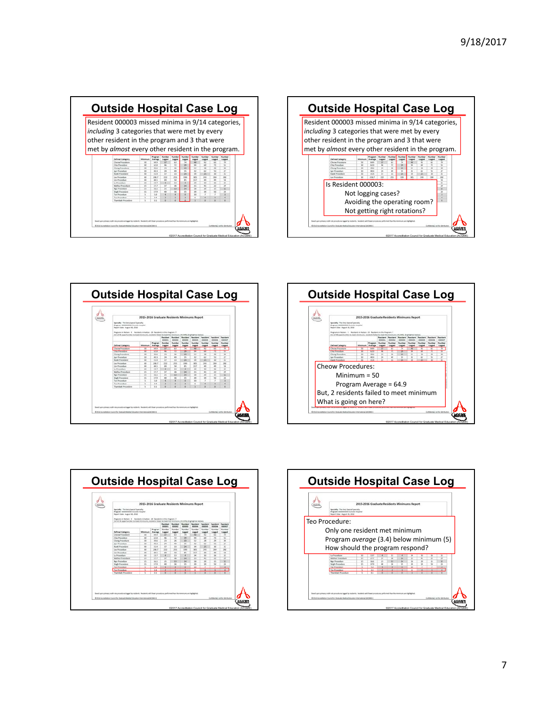









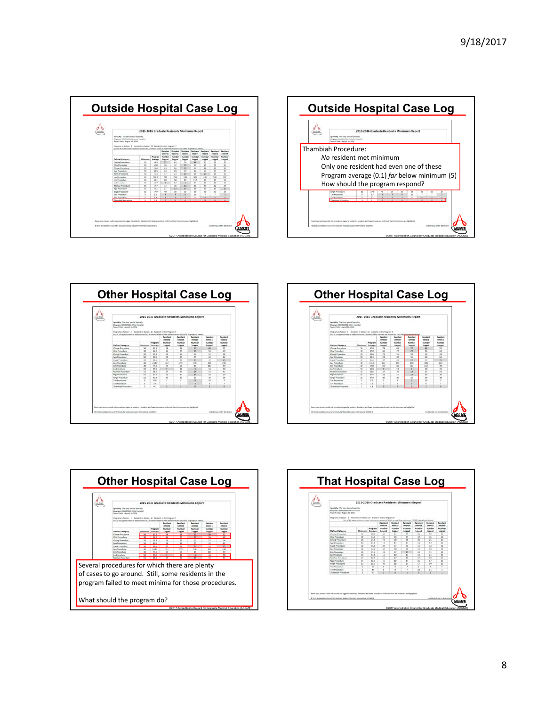









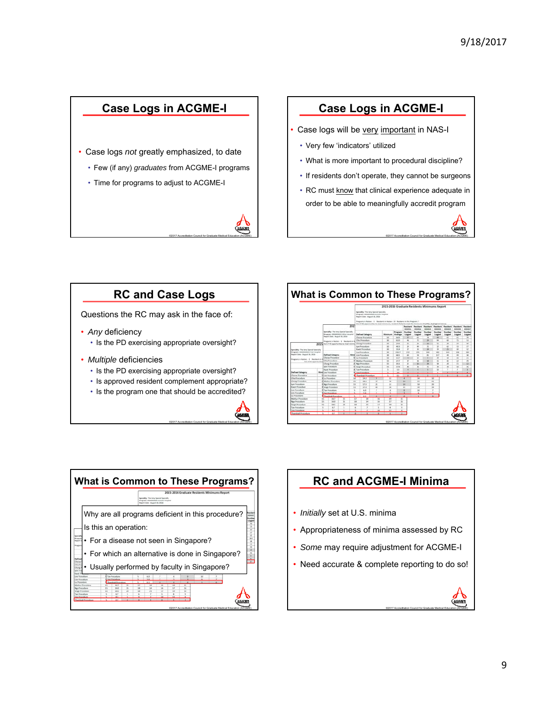## **Case Logs in ACGME-I**

- Case logs *not* greatly emphasized, to date
	- Few (if any) *graduates* from ACGME-I programs
	- Time for programs to adjust to ACGME-I



#### **Case Logs in ACGME-I**

- Case logs will be very important in NAS-I
	- Very few 'indicators' utilized
	- What is more important to procedural discipline?
	- If residents don't operate, they cannot be surgeons
	- RC must know that clinical experience adequate in order to be able to meaningfully accredit program

©2017 Accreditation Council for Graduate Medical Education (ACGME)

## **RC and Case Logs**

Questions the RC may ask in the face of:

- *Any* deficiency
	- Is the PD exercising appropriate oversight?
- *Multiple* deficiencies
	- Is the PD exercising appropriate oversight?
	- Is approved resident complement appropriate?
	- Is the program one that should be accredited?







## **RC and ACGME-I Minima**

- *Initially* set at U.S. minima
- Appropriateness of minima assessed by RC
- *Some* may require adjustment for ACGME-I
- Need accurate & complete reporting to do so!

©2017 Accreditation Council for Graduate Medical Education (ACGME)